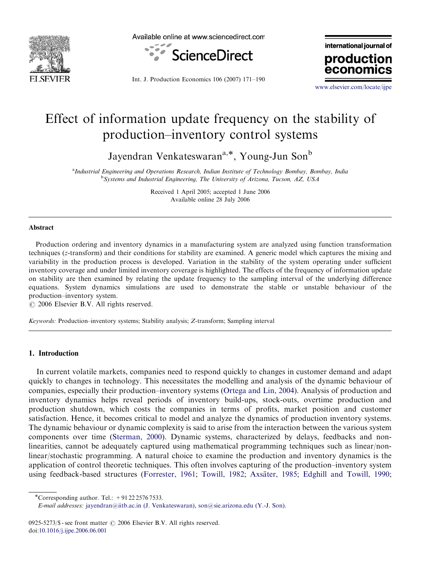



international journal of production

Int. J. Production Economics 106 (2007) 171–190

<www.elsevier.com/locate/ijpe>

econor

## Effect of information update frequency on the stability of production–inventory control systems

Jayendran Venkateswaran<sup>a,\*</sup>, Young-Jun Son<sup>b</sup>

<sup>a</sup>Industrial Engineering and Operations Research, Indian Institute of Technology Bombay, Bombay, India <sup>b</sup>Systems and Industrial Engineering, The University of Arizona, Tucson, AZ, USA

> Received 1 April 2005; accepted 1 June 2006 Available online 28 July 2006

## Abstract

Production ordering and inventory dynamics in a manufacturing system are analyzed using function transformation techniques (z-transform) and their conditions for stability are examined. A generic model which captures the mixing and variability in the production process is developed. Variation in the stability of the system operating under sufficient inventory coverage and under limited inventory coverage is highlighted. The effects of the frequency of information update on stability are then examined by relating the update frequency to the sampling interval of the underlying difference equations. System dynamics simulations are used to demonstrate the stable or unstable behaviour of the production–inventory system.

 $\odot$  2006 Elsevier B.V. All rights reserved.

Keywords: Production–inventory systems; Stability analysis; Z-transform; Sampling interval

## 1. Introduction

In current volatile markets, companies need to respond quickly to changes in customer demand and adapt quickly to changes in technology. This necessitates the modelling and analysis of the dynamic behaviour of companies, especially their production–inventory systems [\(Ortega and Lin, 2004\)](#page--1-0). Analysis of production and inventory dynamics helps reveal periods of inventory build-ups, stock-outs, overtime production and production shutdown, which costs the companies in terms of profits, market position and customer satisfaction. Hence, it becomes critical to model and analyze the dynamics of production inventory systems. The dynamic behaviour or dynamic complexity is said to arise from the interaction between the various system components over time ([Sterman, 2000](#page--1-0)). Dynamic systems, characterized by delays, feedbacks and nonlinearities, cannot be adequately captured using mathematical programming techniques such as linear/nonlinear/stochastic programming. A natural choice to examine the production and inventory dynamics is the application of control theoretic techniques. This often involves capturing of the production–inventory system using feedback-based structures [\(Forrester, 1961](#page--1-0); [Towill, 1982;](#page--1-0) Axsäter, 1985; [Edghill and Towill, 1990](#page--1-0);

<sup>\*</sup>Corresponding author. Tel.:  $+912225767533$ .

E-mail addresses: [jayendran@iitb.ac.in \(J. Venkateswaran\)](mailto:jayendran@iitb.ac.in), [son@sie.arizona.edu \(Y.-J. Son\).](mailto:son@sie.arizona.edu)

<sup>0925-5273/\$ -</sup> see front matter  $\odot$  2006 Elsevier B.V. All rights reserved. doi:[10.1016/j.ijpe.2006.06.001](dx.doi.org/10.1016/j.ijpe.2006.06.001)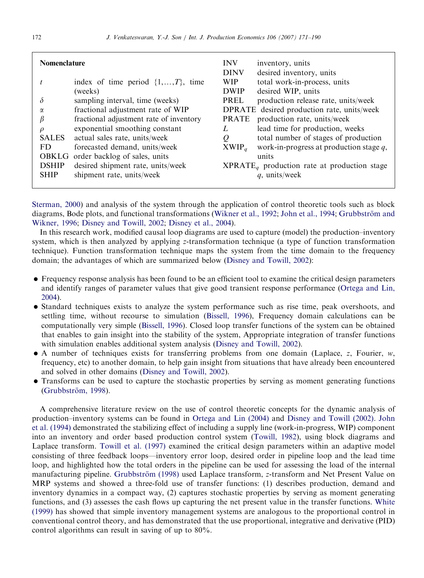| <b>Nomenclature</b> |                                          | <b>INV</b><br><b>DINV</b> | inventory, units<br>desired inventory, units   |
|---------------------|------------------------------------------|---------------------------|------------------------------------------------|
|                     | index of time period $\{1, , T\}$ , time | <b>WIP</b>                | total work-in-process, units                   |
|                     | (weeks)                                  | <b>DWIP</b>               | desired WIP, units                             |
| δ                   | sampling interval, time (weeks)          | PREL                      | production release rate, units/week            |
| $\alpha$            | fractional adjustment rate of WIP        |                           | DPRATE desired production rate, units/week     |
| β                   | fractional adjustment rate of inventory  | <b>PRATE</b>              | production rate, units/week                    |
| $\rho$              | exponential smoothing constant           | L                         | lead time for production, weeks                |
| <b>SALES</b>        | actual sales rate, units/week            | Q                         | total number of stages of production           |
| FD                  | forecasted demand, units/week            | $XWP_a$                   | work-in-progress at production stage $q$ ,     |
|                     | OBKLG order backlog of sales, units      |                           | units                                          |
| <b>DSHIP</b>        | desired shipment rate, units/week        |                           | $XPRATE_a$ production rate at production stage |
| <b>SHIP</b>         | shipment rate, units/week                |                           | $q$ , units/week                               |

[Sterman, 2000](#page--1-0)) and analysis of the system through the application of control theoretic tools such as block diagrams, Bode plots, and functional transformations [\(Wikner et al., 1992;](#page--1-0) [John et al., 1994](#page--1-0); Grubbström and [Wikner, 1996;](#page--1-0) [Disney and Towill, 2002;](#page--1-0) [Disney et al., 2004](#page--1-0)).

In this research work, modified causal loop diagrams are used to capture (model) the production–inventory system, which is then analyzed by applying z-transformation technique (a type of function transformation technique). Function transformation technique maps the system from the time domain to the frequency domain; the advantages of which are summarized below [\(Disney and Towill, 2002\)](#page--1-0):

- Frequency response analysis has been found to be an efficient tool to examine the critical design parameters and identify ranges of parameter values that give good transient response performance [\(Ortega and Lin,](#page--1-0) [2004](#page--1-0)).
- Standard techniques exists to analyze the system performance such as rise time, peak overshoots, and settling time, without recourse to simulation [\(Bissell, 1996](#page--1-0)), Frequency domain calculations can be computationally very simple ([Bissell, 1996\)](#page--1-0). Closed loop transfer functions of the system can be obtained that enables to gain insight into the stability of the system, Appropriate integration of transfer functions with simulation enables additional system analysis [\(Disney and Towill, 2002\)](#page--1-0).
- $\bullet$  A number of techniques exists for transferring problems from one domain (Laplace, z, Fourier, w, frequency, etc) to another domain, to help gain insight from situations that have already been encountered and solved in other domains [\(Disney and Towill, 2002\)](#page--1-0).
- Transforms can be used to capture the stochastic properties by serving as moment generating functions (Grubbström, 1998).

A comprehensive literature review on the use of control theoretic concepts for the dynamic analysis of production–inventory systems can be found in [Ortega and Lin \(2004\)](#page--1-0) and [Disney and Towill \(2002\)](#page--1-0). [John](#page--1-0) [et al. \(1994\)](#page--1-0) demonstrated the stabilizing effect of including a supply line (work-in-progress, WIP) component into an inventory and order based production control system ([Towill, 1982\)](#page--1-0), using block diagrams and Laplace transform. [Towill et al. \(1997\)](#page--1-0) examined the critical design parameters within an adaptive model consisting of three feedback loops—inventory error loop, desired order in pipeline loop and the lead time loop, and highlighted how the total orders in the pipeline can be used for assessing the load of the internal manufacturing pipeline. Grubbström (1998) used Laplace transform, z-transform and Net Present Value on MRP systems and showed a three-fold use of transfer functions: (1) describes production, demand and inventory dynamics in a compact way, (2) captures stochastic properties by serving as moment generating functions, and (3) assesses the cash flows up capturing the net present value in the transfer functions. [White](#page--1-0) [\(1999\)](#page--1-0) has showed that simple inventory management systems are analogous to the proportional control in conventional control theory, and has demonstrated that the use proportional, integrative and derivative (PID) control algorithms can result in saving of up to 80%.